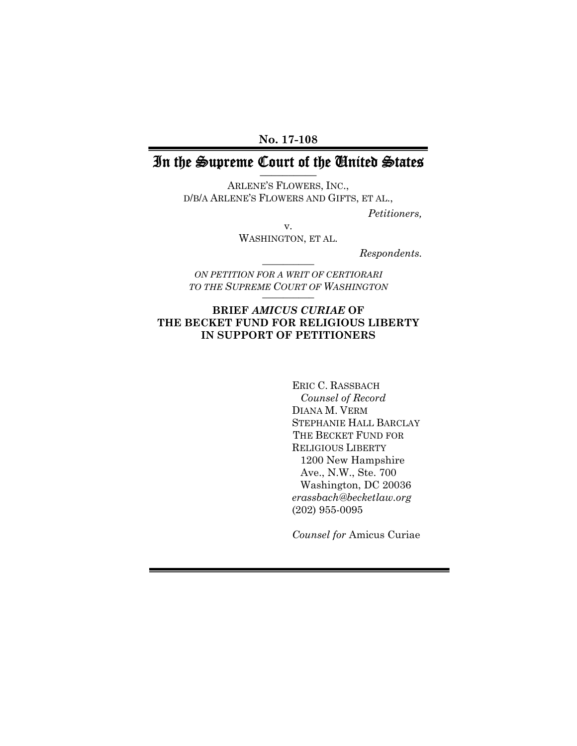**No. 17-108** 

## In the Supreme Court of the United States **\_\_\_\_\_\_\_\_\_\_**

ARLENE'S FLOWERS, INC., D/B/A ARLENE'S FLOWERS AND GIFTS, ET AL.,

*Petitioners,* 

v. WASHINGTON, ET AL.

 $Respondents.$ 

*ON PETITION FOR A WRIT OF CERTIORARI TO THE SUPREME COURT OF WASHINGTON* **\_\_\_\_\_\_\_\_\_\_** 

#### **BRIEF** *AMICUS CURIAE* **OF THE BECKET FUND FOR RELIGIOUS LIBERTY IN SUPPORT OF PETITIONERS**

ERIC C. RASSBACH  *Counsel of Record*  DIANA M. VERM STEPHANIE HALL BARCLAY THE BECKET FUND FOR RELIGIOUS LIBERTY 1200 New Hampshire Ave., N.W., Ste. 700 Washington, DC 20036  *erassbach@becketlaw.org* (202) 955-0095

*Counsel for* Amicus Curiae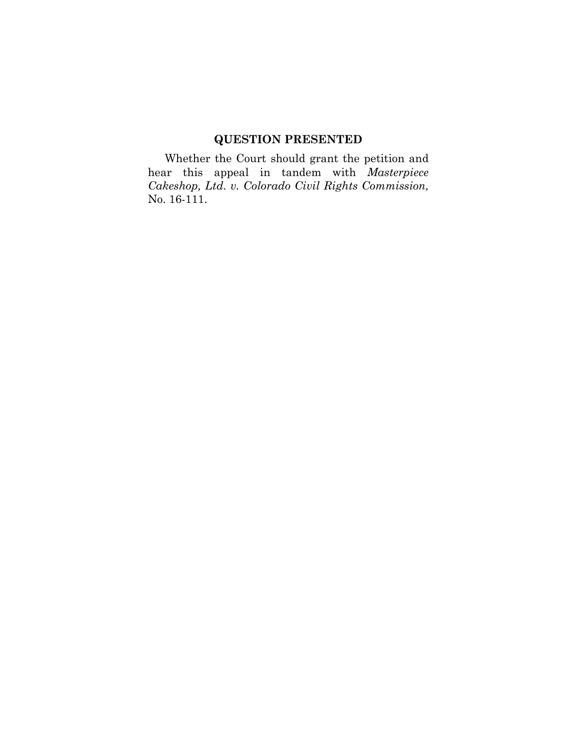### **QUESTION PRESENTED**

Whether the Court should grant the petition and hear this appeal in tandem with *Masterpiece Cakeshop, Ltd. v. Colorado Civil Rights Commission,*  No. 16-111.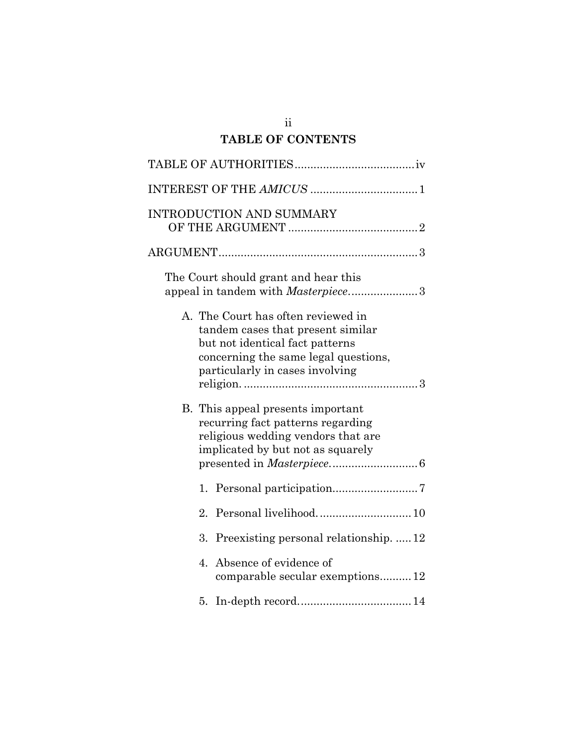## ii **TABLE OF CONTENTS**

| <b>INTRODUCTION AND SUMMARY</b>                                                                                                                                                       |
|---------------------------------------------------------------------------------------------------------------------------------------------------------------------------------------|
|                                                                                                                                                                                       |
| The Court should grant and hear this<br>appeal in tandem with <i>Masterpiece</i> 3                                                                                                    |
| A. The Court has often reviewed in<br>tandem cases that present similar<br>but not identical fact patterns<br>concerning the same legal questions,<br>particularly in cases involving |
| B. This appeal presents important<br>recurring fact patterns regarding<br>religious wedding vendors that are<br>implicated by but not as squarely                                     |
| 1.                                                                                                                                                                                    |
| 2.                                                                                                                                                                                    |
| Preexisting personal relationship.  12<br>3.                                                                                                                                          |
| Absence of evidence of<br>4.<br>comparable secular exemptions 12                                                                                                                      |
|                                                                                                                                                                                       |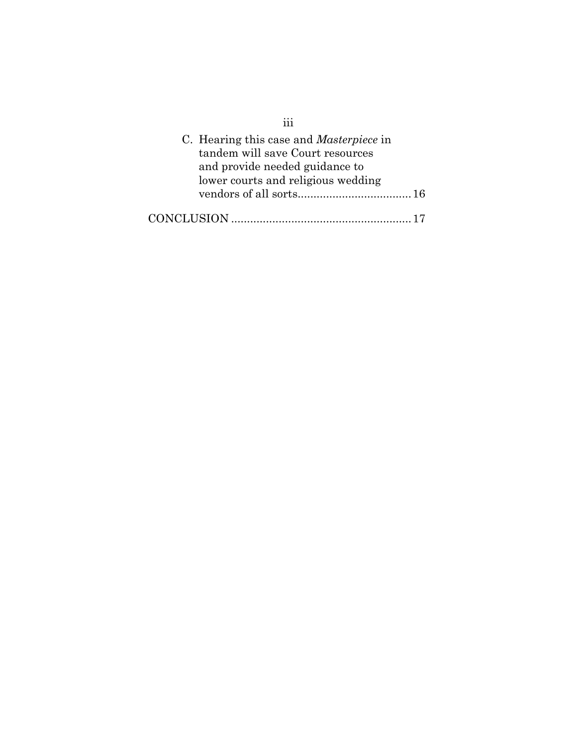| C. Hearing this case and <i>Masterpiece</i> in<br>tandem will save Court resources<br>and provide needed guidance to<br>lower courts and religious wedding |
|------------------------------------------------------------------------------------------------------------------------------------------------------------|
|                                                                                                                                                            |
| CONCLUSION                                                                                                                                                 |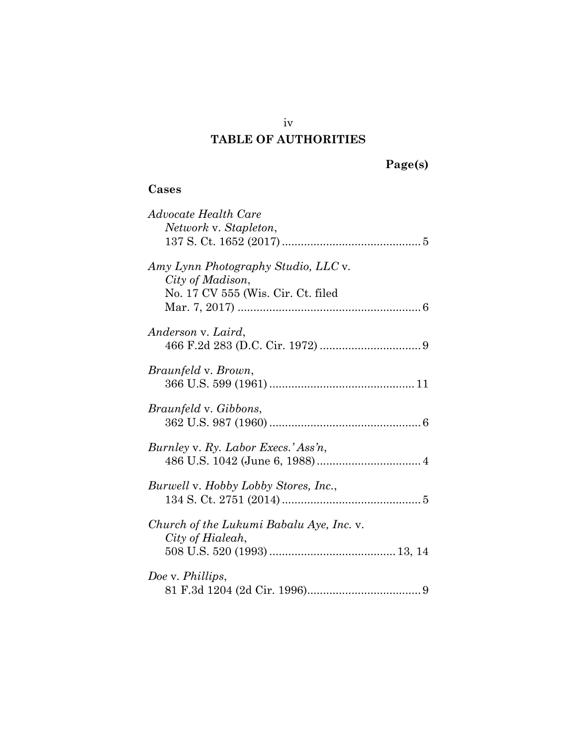### **TABLE OF AUTHORITIES**

# **Page(s)**

### **Cases**

| Advocate Health Care                        |
|---------------------------------------------|
| Network v. Stapleton,                       |
|                                             |
|                                             |
| Amy Lynn Photography Studio, LLC v.         |
| City of Madison,                            |
|                                             |
| No. 17 CV 555 (Wis. Cir. Ct. filed          |
|                                             |
|                                             |
| Anderson v. Laird,                          |
|                                             |
|                                             |
| <i>Braunfeld</i> v. <i>Brown</i> ,          |
|                                             |
|                                             |
| <i>Braunfeld v. Gibbons,</i>                |
|                                             |
|                                             |
| Burnley v. Ry. Labor Execs.' Ass'n,         |
|                                             |
|                                             |
| <i>Burwell</i> v. Hobby Lobby Stores, Inc., |
|                                             |
|                                             |
|                                             |
| Church of the Lukumi Babalu Aye, Inc. v.    |
| City of Hialeah,                            |
|                                             |
|                                             |
| Doe v. Phillips,                            |
|                                             |
|                                             |

iv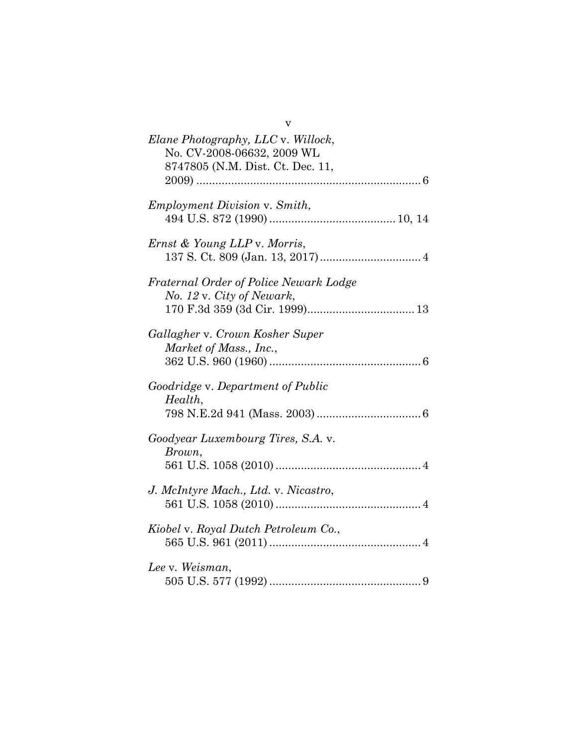| v                                                                                                    |
|------------------------------------------------------------------------------------------------------|
| Elane Photography, LLC v. Willock,<br>No. CV-2008-06632, 2009 WL<br>8747805 (N.M. Dist. Ct. Dec. 11, |
| <i>Employment Division v. Smith,</i>                                                                 |
| Ernst & Young LLP v. Morris,                                                                         |
| Fraternal Order of Police Newark Lodge<br>No. 12 v. City of Newark,                                  |
| Gallagher v. Crown Kosher Super<br>Market of Mass., Inc.,                                            |
| Goodridge v. Department of Public<br>Health,                                                         |
| Goodyear Luxembourg Tires, S.A. v.<br>Brown,                                                         |
| J. McIntyre Mach., Ltd. v. Nicastro,                                                                 |
| Kiobel v. Royal Dutch Petroleum Co.,                                                                 |
| Lee v. Weisman,                                                                                      |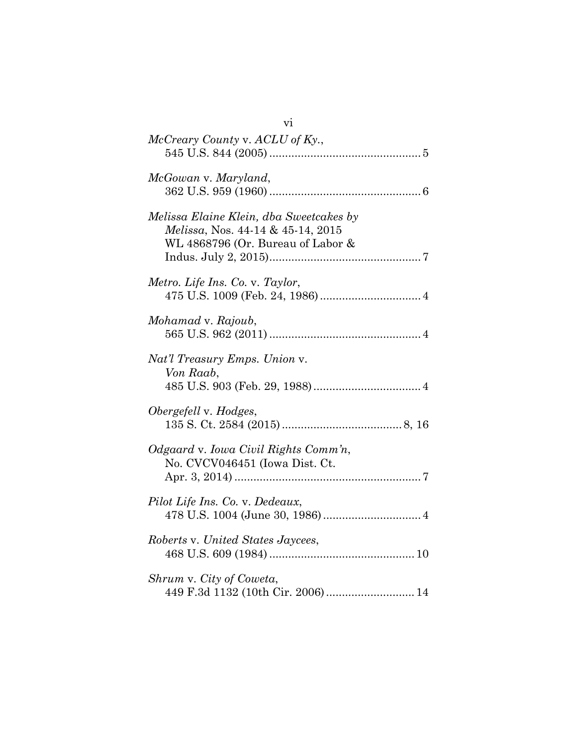| V1                                                                                                                |
|-------------------------------------------------------------------------------------------------------------------|
| McCreary County v. ACLU of Ky.,                                                                                   |
| McGowan v. Maryland,                                                                                              |
| Melissa Elaine Klein, dba Sweetcakes by<br>Melissa, Nos. 44-14 & 45-14, 2015<br>WL 4868796 (Or. Bureau of Labor & |
| Metro. Life Ins. Co. v. Taylor,                                                                                   |
| Mohamad v. Rajoub,                                                                                                |
| Nat'l Treasury Emps. Union v.<br>Von Raab,                                                                        |
| Obergefell v. Hodges,                                                                                             |
| Odgaard v. Iowa Civil Rights Comm'n,<br>No. CVCV046451 (Iowa Dist. Ct.                                            |
| Pilot Life Ins. Co. v. Dedeaux,                                                                                   |
| Roberts v. United States Jaycees,                                                                                 |
| Shrum v. City of Coweta,<br>449 F.3d 1132 (10th Cir. 2006) 14                                                     |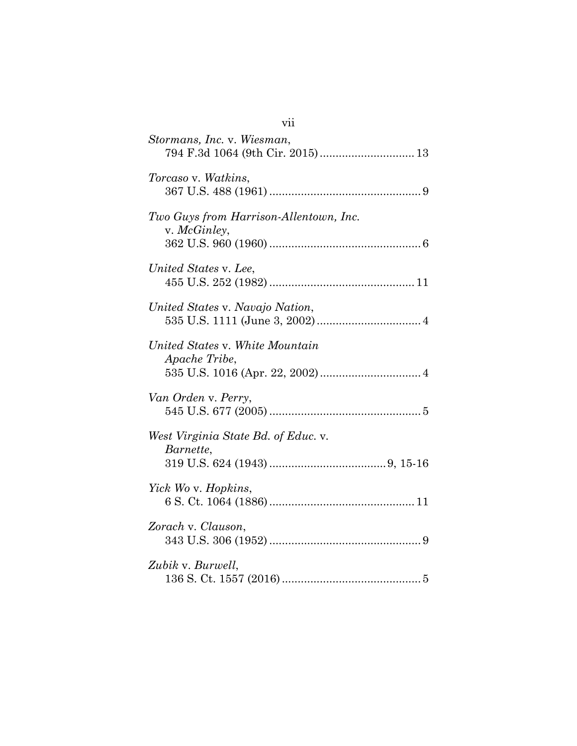| Stormans, Inc. v. Wiesman,<br>794 F.3d 1064 (9th Cir. 2015) 13 |
|----------------------------------------------------------------|
| Torcaso v. Watkins,                                            |
| Two Guys from Harrison-Allentown, Inc.<br>v. McGinley,         |
| United States v. Lee,                                          |
| United States v. Navajo Nation,                                |
| United States v. White Mountain<br>Apache Tribe,               |
| Van Orden v. Perry,                                            |
| West Virginia State Bd. of Educ. v.<br>Barnette,               |
| Yick Wo v. Hopkins,                                            |
| Zorach v. Clauson,                                             |
| Zubik v. Burwell,                                              |

# vii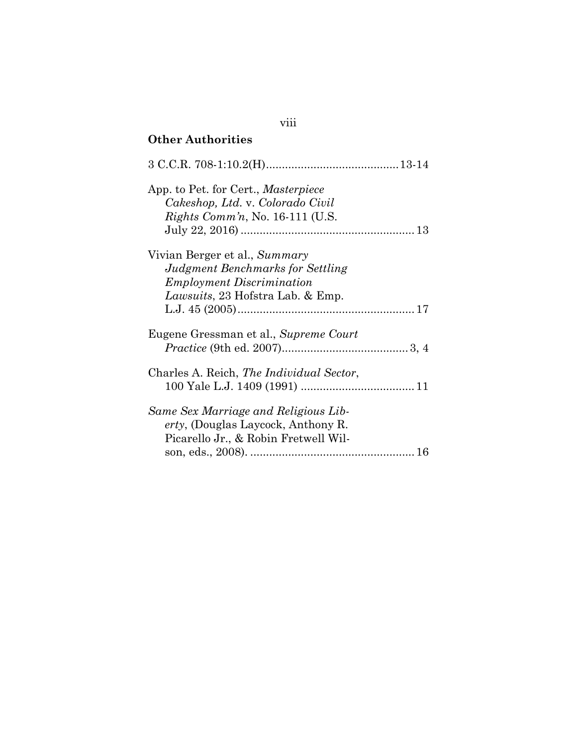| <b>Other Authorities</b>                                                                                                                          |
|---------------------------------------------------------------------------------------------------------------------------------------------------|
|                                                                                                                                                   |
| App. to Pet. for Cert., Masterpiece<br>Cakeshop, Ltd. v. Colorado Civil<br>Rights Comm'n, No. $16-111$ (U.S.                                      |
| Vivian Berger et al., Summary<br>Judgment Benchmarks for Settling<br><b>Employment Discrimination</b><br><i>Lawsuits</i> , 23 Hofstra Lab. & Emp. |
| Eugene Gressman et al., Supreme Court                                                                                                             |
| Charles A. Reich, The Individual Sector,                                                                                                          |
| Same Sex Marriage and Religious Lib-<br><i>erty</i> , (Douglas Laycock, Anthony R.<br>Picarello Jr., & Robin Fretwell Wil-                        |

## viii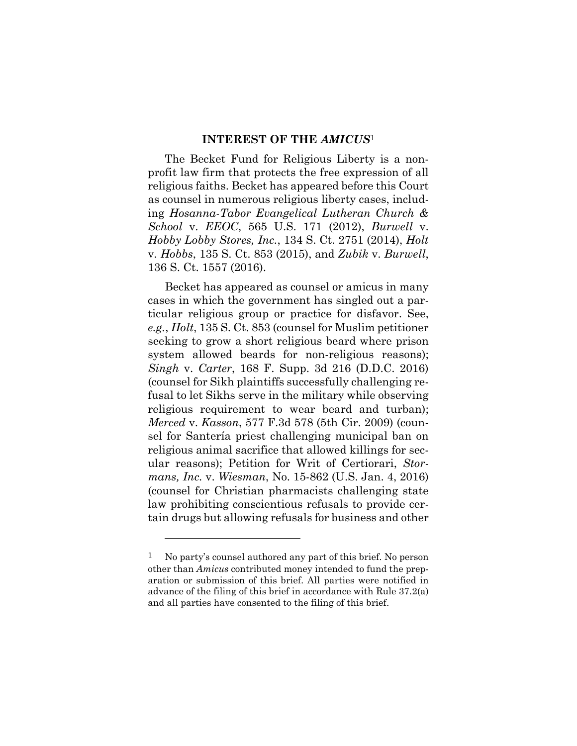#### **INTEREST OF THE** *AMICUS*<sup>1</sup>

The Becket Fund for Religious Liberty is a nonprofit law firm that protects the free expression of all religious faiths. Becket has appeared before this Court as counsel in numerous religious liberty cases, including *Hosanna-Tabor Evangelical Lutheran Church & School* v. *EEOC*, 565 U.S. 171 (2012), *Burwell* v. *Hobby Lobby Stores, Inc.*, 134 S. Ct. 2751 (2014), *Holt* v. *Hobbs*, 135 S. Ct. 853 (2015), and *Zubik* v. *Burwell*, 136 S. Ct. 1557 (2016).

Becket has appeared as counsel or amicus in many cases in which the government has singled out a particular religious group or practice for disfavor. See, *e.g.*, *Holt*, 135 S. Ct. 853 (counsel for Muslim petitioner seeking to grow a short religious beard where prison system allowed beards for non-religious reasons); *Singh* v. *Carter*, 168 F. Supp. 3d 216 (D.D.C. 2016) (counsel for Sikh plaintiffs successfully challenging refusal to let Sikhs serve in the military while observing religious requirement to wear beard and turban); *Merced* v. *Kasson*, 577 F.3d 578 (5th Cir. 2009) (counsel for Santería priest challenging municipal ban on religious animal sacrifice that allowed killings for secular reasons); Petition for Writ of Certiorari, *Stormans, Inc.* v. *Wiesman*, No. 15-862 (U.S. Jan. 4, 2016) (counsel for Christian pharmacists challenging state law prohibiting conscientious refusals to provide certain drugs but allowing refusals for business and other

1

 $1$  No party's counsel authored any part of this brief. No person other than *Amicus* contributed money intended to fund the preparation or submission of this brief. All parties were notified in advance of the filing of this brief in accordance with Rule 37.2(a) and all parties have consented to the filing of this brief.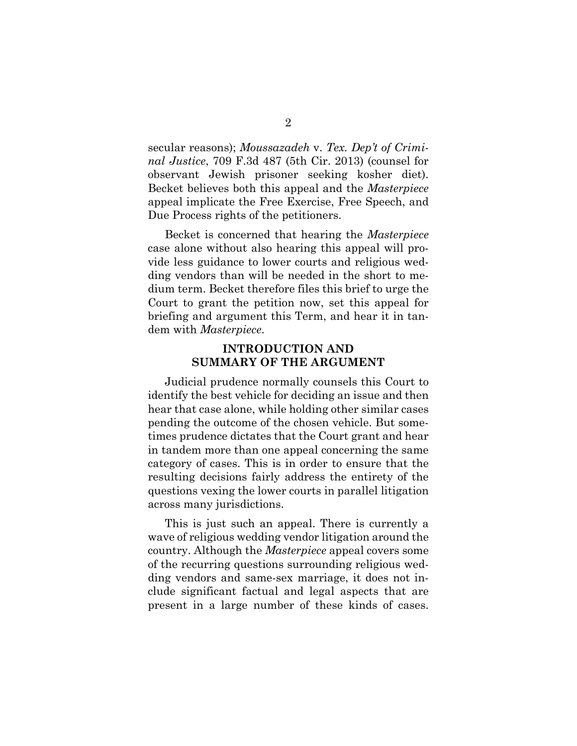secular reasons); *Moussazadeh* v. *Tex. Dep't of Criminal Justice*, 709 F.3d 487 (5th Cir. 2013) (counsel for observant Jewish prisoner seeking kosher diet). Becket believes both this appeal and the *Masterpiece*  appeal implicate the Free Exercise, Free Speech, and Due Process rights of the petitioners.

Becket is concerned that hearing the *Masterpiece*  case alone without also hearing this appeal will provide less guidance to lower courts and religious wedding vendors than will be needed in the short to medium term. Becket therefore files this brief to urge the Court to grant the petition now, set this appeal for briefing and argument this Term, and hear it in tandem with *Masterpiece*.

### **INTRODUCTION AND SUMMARY OF THE ARGUMENT**

Judicial prudence normally counsels this Court to identify the best vehicle for deciding an issue and then hear that case alone, while holding other similar cases pending the outcome of the chosen vehicle. But sometimes prudence dictates that the Court grant and hear in tandem more than one appeal concerning the same category of cases. This is in order to ensure that the resulting decisions fairly address the entirety of the questions vexing the lower courts in parallel litigation across many jurisdictions.

This is just such an appeal. There is currently a wave of religious wedding vendor litigation around the country. Although the *Masterpiece* appeal covers some of the recurring questions surrounding religious wedding vendors and same-sex marriage, it does not include significant factual and legal aspects that are present in a large number of these kinds of cases.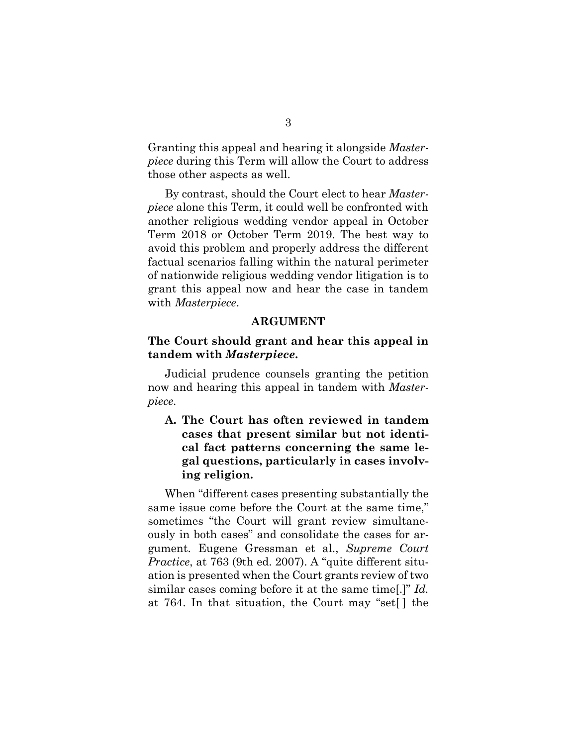Granting this appeal and hearing it alongside *Masterpiece* during this Term will allow the Court to address those other aspects as well.

By contrast, should the Court elect to hear *Masterpiece* alone this Term, it could well be confronted with another religious wedding vendor appeal in October Term 2018 or October Term 2019. The best way to avoid this problem and properly address the different factual scenarios falling within the natural perimeter of nationwide religious wedding vendor litigation is to grant this appeal now and hear the case in tandem with *Masterpiece*.

#### **ARGUMENT**

### **The Court should grant and hear this appeal in tandem with** *Masterpiece***.**

Judicial prudence counsels granting the petition now and hearing this appeal in tandem with *Masterpiece*.

**A. The Court has often reviewed in tandem cases that present similar but not identical fact patterns concerning the same legal questions, particularly in cases involving religion.** 

When "different cases presenting substantially the same issue come before the Court at the same time," sometimes "the Court will grant review simultaneously in both cases" and consolidate the cases for argument. Eugene Gressman et al., *Supreme Court Practice*, at 763 (9th ed. 2007). A "quite different situation is presented when the Court grants review of two similar cases coming before it at the same time[.]" *Id.* at 764. In that situation, the Court may "set[ ] the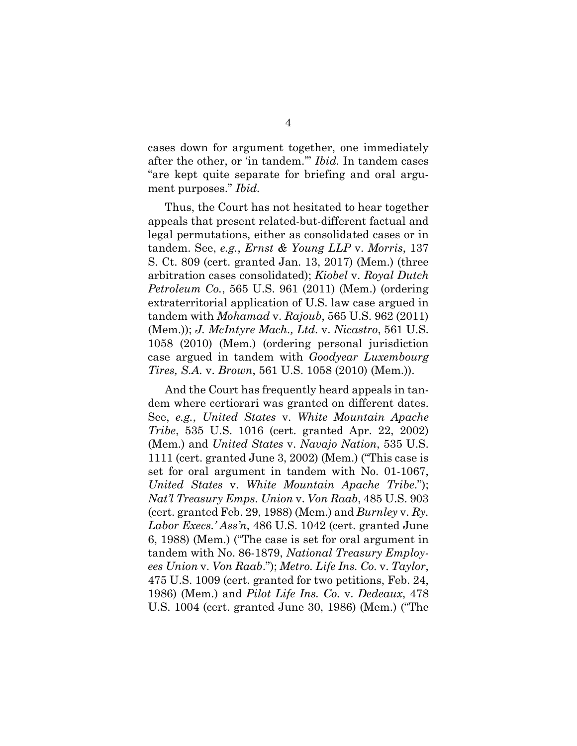cases down for argument together, one immediately after the other, or 'in tandem.'" *Ibid.* In tandem cases "are kept quite separate for briefing and oral argument purposes." *Ibid.*

Thus, the Court has not hesitated to hear together appeals that present related-but-different factual and legal permutations, either as consolidated cases or in tandem. See, *e.g.*, *Ernst & Young LLP* v. *Morris*, 137 S. Ct. 809 (cert. granted Jan. 13, 2017) (Mem.) (three arbitration cases consolidated); *Kiobel* v. *Royal Dutch Petroleum Co.*, 565 U.S. 961 (2011) (Mem.) (ordering extraterritorial application of U.S. law case argued in tandem with *Mohamad* v. *Rajoub*, 565 U.S. 962 (2011) (Mem.)); *J. McIntyre Mach., Ltd.* v. *Nicastro*, 561 U.S. 1058 (2010) (Mem.) (ordering personal jurisdiction case argued in tandem with *Goodyear Luxembourg Tires, S.A.* v. *Brown*, 561 U.S. 1058 (2010) (Mem.)).

And the Court has frequently heard appeals in tandem where certiorari was granted on different dates. See, *e.g.*, *United States* v. *White Mountain Apache Tribe*, 535 U.S. 1016 (cert. granted Apr. 22, 2002) (Mem.) and *United States* v. *Navajo Nation*, 535 U.S. 1111 (cert. granted June 3, 2002) (Mem.) ("This case is set for oral argument in tandem with No. 01-1067, *United States* v. *White Mountain Apache Tribe*."); *Nat'l Treasury Emps. Union* v. *Von Raab*, 485 U.S. 903 (cert. granted Feb. 29, 1988) (Mem.) and *Burnley* v. *Ry. Labor Execs.' Ass'n*, 486 U.S. 1042 (cert. granted June 6, 1988) (Mem.) ("The case is set for oral argument in tandem with No. 86-1879, *National Treasury Employees Union* v. *Von Raab*."); *Metro. Life Ins. Co.* v. *Taylor*, 475 U.S. 1009 (cert. granted for two petitions, Feb. 24, 1986) (Mem.) and *Pilot Life Ins. Co.* v. *Dedeaux*, 478 U.S. 1004 (cert. granted June 30, 1986) (Mem.) ("The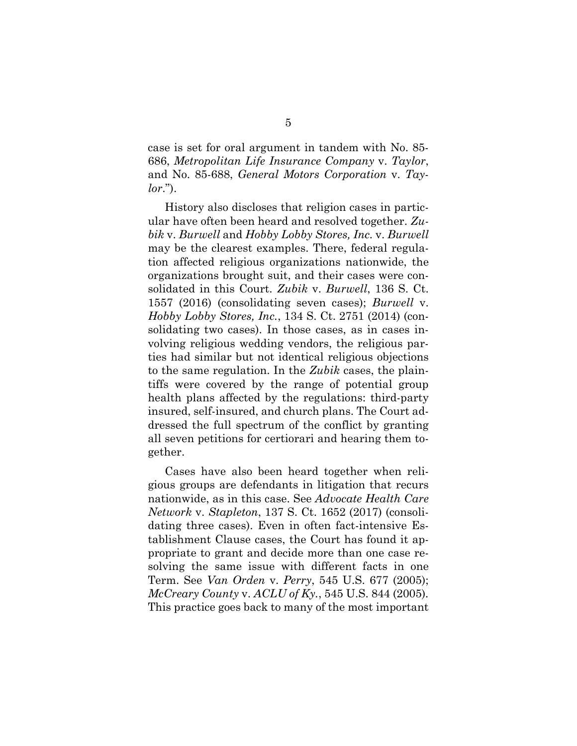case is set for oral argument in tandem with No. 85- 686, *Metropolitan Life Insurance Company* v. *Taylor*, and No. 85-688, *General Motors Corporation* v. *Taylor*.").

History also discloses that religion cases in particular have often been heard and resolved together. *Zubik* v. *Burwell* and *Hobby Lobby Stores, Inc.* v. *Burwell* may be the clearest examples. There, federal regulation affected religious organizations nationwide, the organizations brought suit, and their cases were consolidated in this Court. *Zubik* v. *Burwell*, 136 S. Ct. 1557 (2016) (consolidating seven cases); *Burwell* v. *Hobby Lobby Stores, Inc.*, 134 S. Ct. 2751 (2014) (consolidating two cases). In those cases, as in cases involving religious wedding vendors, the religious parties had similar but not identical religious objections to the same regulation. In the *Zubik* cases, the plaintiffs were covered by the range of potential group health plans affected by the regulations: third-party insured, self-insured, and church plans. The Court addressed the full spectrum of the conflict by granting all seven petitions for certiorari and hearing them together.

Cases have also been heard together when religious groups are defendants in litigation that recurs nationwide, as in this case. See *Advocate Health Care Network* v. *Stapleton*, 137 S. Ct. 1652 (2017) (consolidating three cases). Even in often fact-intensive Establishment Clause cases, the Court has found it appropriate to grant and decide more than one case resolving the same issue with different facts in one Term. See *Van Orden* v. *Perry*, 545 U.S. 677 (2005); *McCreary County* v. *ACLU of Ky.*, 545 U.S. 844 (2005)*.*  This practice goes back to many of the most important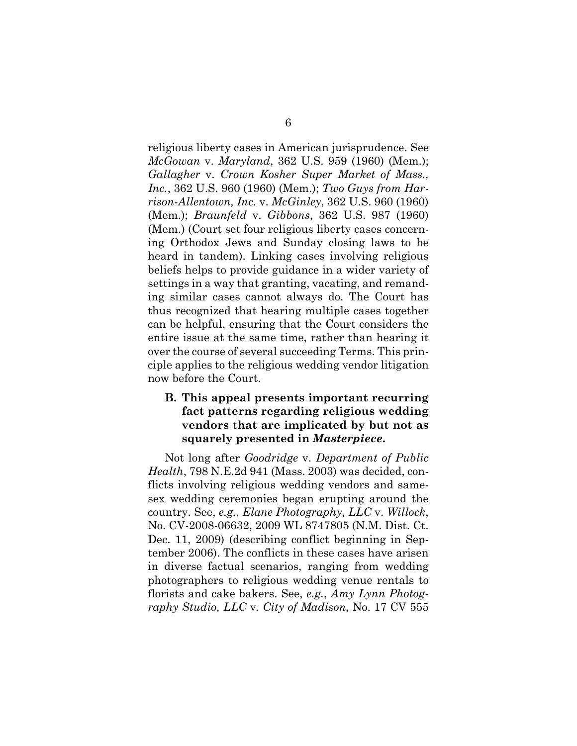religious liberty cases in American jurisprudence. See *McGowan* v. *Maryland*, 362 U.S. 959 (1960) (Mem.); *Gallagher* v. *Crown Kosher Super Market of Mass., Inc.*, 362 U.S. 960 (1960) (Mem.); *Two Guys from Harrison-Allentown, Inc.* v. *McGinley*, 362 U.S. 960 (1960) (Mem.); *Braunfeld* v. *Gibbons*, 362 U.S. 987 (1960) (Mem.) (Court set four religious liberty cases concerning Orthodox Jews and Sunday closing laws to be heard in tandem). Linking cases involving religious beliefs helps to provide guidance in a wider variety of settings in a way that granting, vacating, and remanding similar cases cannot always do. The Court has thus recognized that hearing multiple cases together can be helpful, ensuring that the Court considers the entire issue at the same time, rather than hearing it over the course of several succeeding Terms. This principle applies to the religious wedding vendor litigation now before the Court.

### **B. This appeal presents important recurring fact patterns regarding religious wedding vendors that are implicated by but not as squarely presented in** *Masterpiece***.**

Not long after *Goodridge* v. *Department of Public Health*, 798 N.E.2d 941 (Mass. 2003) was decided, conflicts involving religious wedding vendors and samesex wedding ceremonies began erupting around the country. See, *e.g.*, *Elane Photography, LLC* v. *Willock*, No. CV-2008-06632, 2009 WL 8747805 (N.M. Dist. Ct. Dec. 11, 2009) (describing conflict beginning in September 2006). The conflicts in these cases have arisen in diverse factual scenarios, ranging from wedding photographers to religious wedding venue rentals to florists and cake bakers. See, *e.g.*, *Amy Lynn Photography Studio, LLC* v*. City of Madison,* No. 17 CV 555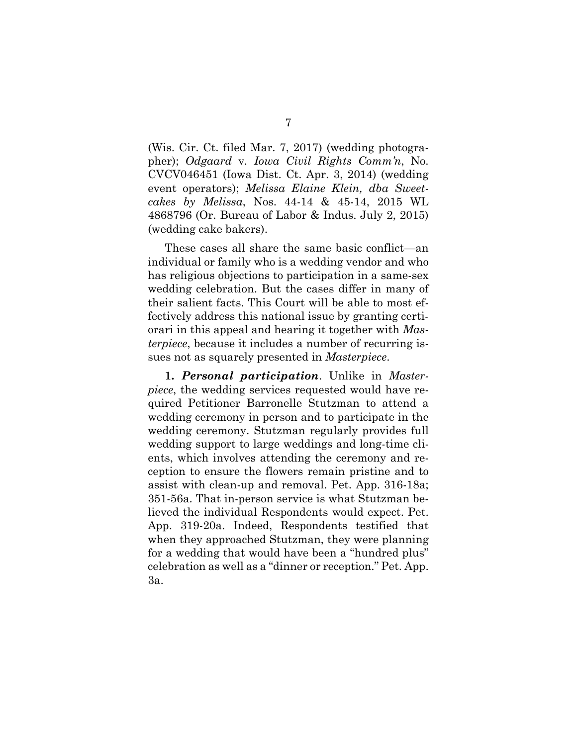(Wis. Cir. Ct. filed Mar. 7, 2017) (wedding photographer); *Odgaard* v*. Iowa Civil Rights Comm'n*, No. CVCV046451 (Iowa Dist. Ct. Apr. 3, 2014) (wedding event operators); *Melissa Elaine Klein, dba Sweetcakes by Melissa*, Nos. 44-14 & 45-14, 2015 WL 4868796 (Or. Bureau of Labor & Indus. July 2, 2015) (wedding cake bakers).

These cases all share the same basic conflict—an individual or family who is a wedding vendor and who has religious objections to participation in a same-sex wedding celebration. But the cases differ in many of their salient facts. This Court will be able to most effectively address this national issue by granting certiorari in this appeal and hearing it together with *Masterpiece*, because it includes a number of recurring issues not as squarely presented in *Masterpiece*.

**1.** *Personal participation*. Unlike in *Masterpiece*, the wedding services requested would have required Petitioner Barronelle Stutzman to attend a wedding ceremony in person and to participate in the wedding ceremony. Stutzman regularly provides full wedding support to large weddings and long-time clients, which involves attending the ceremony and reception to ensure the flowers remain pristine and to assist with clean-up and removal. Pet. App. 316-18a; 351-56a. That in-person service is what Stutzman believed the individual Respondents would expect. Pet. App. 319-20a. Indeed, Respondents testified that when they approached Stutzman, they were planning for a wedding that would have been a "hundred plus" celebration as well as a "dinner or reception." Pet. App. 3a.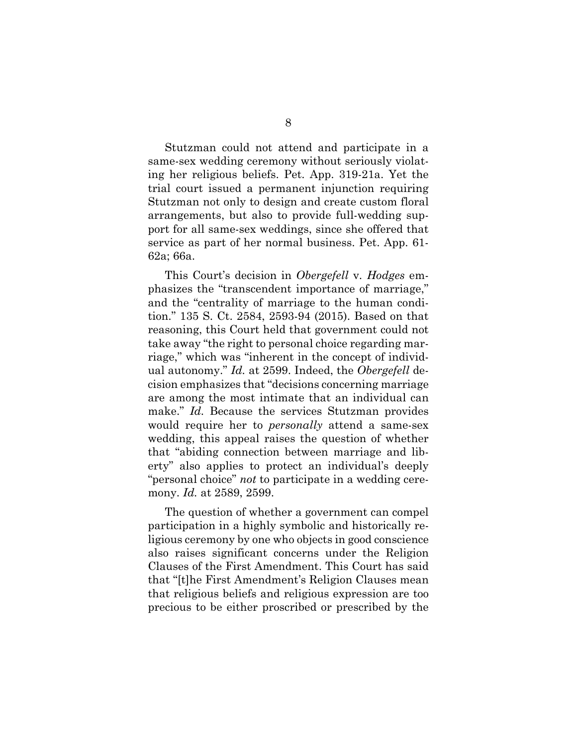Stutzman could not attend and participate in a same-sex wedding ceremony without seriously violating her religious beliefs. Pet. App. 319-21a. Yet the trial court issued a permanent injunction requiring Stutzman not only to design and create custom floral arrangements, but also to provide full-wedding support for all same-sex weddings, since she offered that service as part of her normal business. Pet. App. 61- 62a; 66a.

This Court's decision in *Obergefell* v. *Hodges* emphasizes the "transcendent importance of marriage," and the "centrality of marriage to the human condition." 135 S. Ct. 2584, 2593-94 (2015). Based on that reasoning, this Court held that government could not take away "the right to personal choice regarding marriage," which was "inherent in the concept of individual autonomy." *Id.* at 2599. Indeed, the *Obergefell* decision emphasizes that "decisions concerning marriage are among the most intimate that an individual can make." *Id.* Because the services Stutzman provides would require her to *personally* attend a same-sex wedding, this appeal raises the question of whether that "abiding connection between marriage and liberty" also applies to protect an individual's deeply "personal choice" *not* to participate in a wedding ceremony. *Id.* at 2589, 2599.

The question of whether a government can compel participation in a highly symbolic and historically religious ceremony by one who objects in good conscience also raises significant concerns under the Religion Clauses of the First Amendment. This Court has said that "[t]he First Amendment's Religion Clauses mean that religious beliefs and religious expression are too precious to be either proscribed or prescribed by the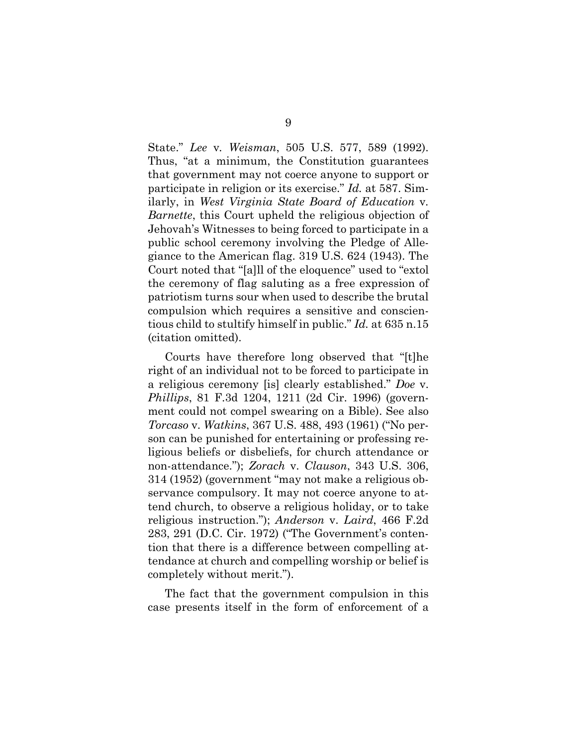State." *Lee* v*. Weisman*, 505 U.S. 577, 589 (1992). Thus, "at a minimum, the Constitution guarantees that government may not coerce anyone to support or participate in religion or its exercise." *Id.* at 587. Similarly, in *West Virginia State Board of Education* v*. Barnette*, this Court upheld the religious objection of Jehovah's Witnesses to being forced to participate in a public school ceremony involving the Pledge of Allegiance to the American flag. 319 U.S. 624 (1943). The Court noted that "[a]ll of the eloquence" used to "extol the ceremony of flag saluting as a free expression of patriotism turns sour when used to describe the brutal compulsion which requires a sensitive and conscientious child to stultify himself in public." *Id.* at 635 n.15 (citation omitted).

Courts have therefore long observed that "[t]he right of an individual not to be forced to participate in a religious ceremony [is] clearly established." *Doe* v. *Phillips*, 81 F.3d 1204, 1211 (2d Cir. 1996) (government could not compel swearing on a Bible). See also *Torcaso* v. *Watkins*, 367 U.S. 488, 493 (1961) ("No person can be punished for entertaining or professing religious beliefs or disbeliefs, for church attendance or non-attendance."); *Zorach* v. *Clauson*, 343 U.S. 306, 314 (1952) (government "may not make a religious observance compulsory. It may not coerce anyone to attend church, to observe a religious holiday, or to take religious instruction."); *Anderson* v. *Laird*, 466 F.2d 283, 291 (D.C. Cir. 1972) ("The Government's contention that there is a difference between compelling attendance at church and compelling worship or belief is completely without merit.").

The fact that the government compulsion in this case presents itself in the form of enforcement of a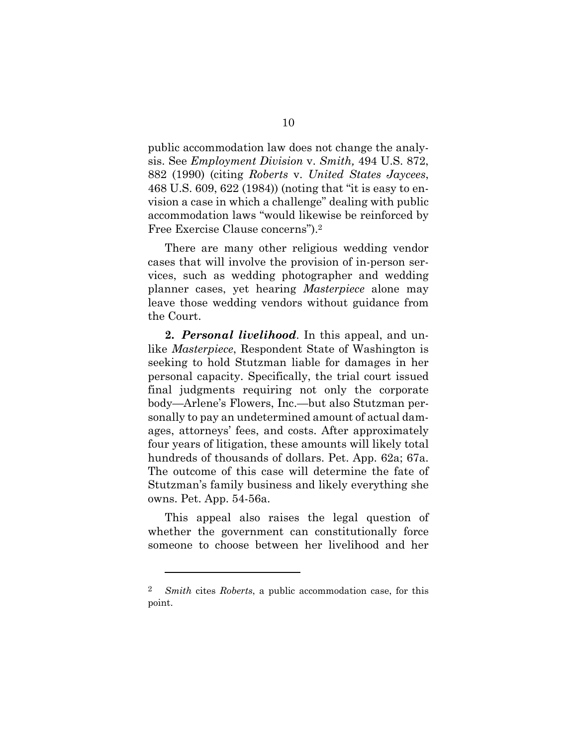public accommodation law does not change the analysis. See *Employment Division* v. *Smith,* 494 U.S. 872, 882 (1990) (citing *Roberts* v. *United States Jaycees*, 468 U.S. 609, 622 (1984)) (noting that "it is easy to envision a case in which a challenge" dealing with public accommodation laws "would likewise be reinforced by Free Exercise Clause concerns").2

There are many other religious wedding vendor cases that will involve the provision of in-person services, such as wedding photographer and wedding planner cases, yet hearing *Masterpiece* alone may leave those wedding vendors without guidance from the Court.

**2.** *Personal livelihood*. In this appeal, and unlike *Masterpiece*, Respondent State of Washington is seeking to hold Stutzman liable for damages in her personal capacity. Specifically, the trial court issued final judgments requiring not only the corporate body—Arlene's Flowers, Inc.—but also Stutzman personally to pay an undetermined amount of actual damages, attorneys' fees, and costs. After approximately four years of litigation, these amounts will likely total hundreds of thousands of dollars. Pet. App. 62a; 67a. The outcome of this case will determine the fate of Stutzman's family business and likely everything she owns. Pet. App. 54-56a.

This appeal also raises the legal question of whether the government can constitutionally force someone to choose between her livelihood and her

 $\overline{a}$ 

<sup>2</sup> *Smith* cites *Roberts*, a public accommodation case, for this point.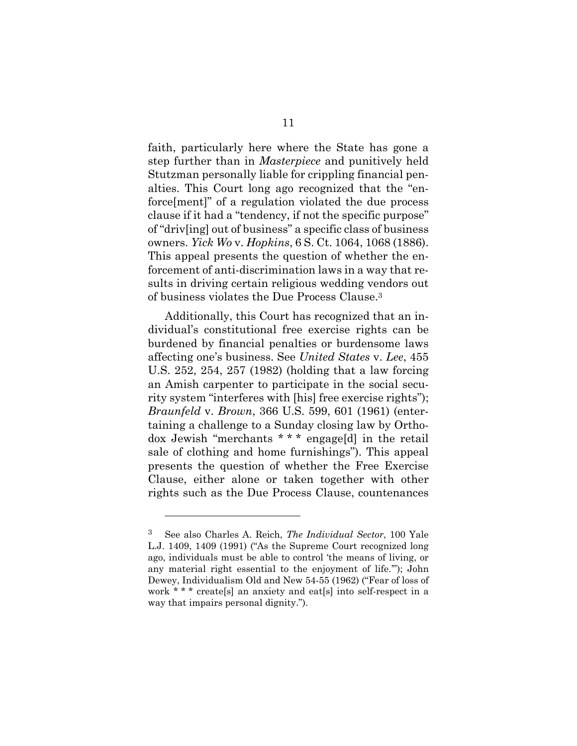faith, particularly here where the State has gone a step further than in *Masterpiece* and punitively held Stutzman personally liable for crippling financial penalties. This Court long ago recognized that the "enforce[ment]" of a regulation violated the due process clause if it had a "tendency, if not the specific purpose" of "driv[ing] out of business" a specific class of business owners. *Yick Wo* v. *Hopkins*, 6 S. Ct. 1064, 1068 (1886). This appeal presents the question of whether the enforcement of anti-discrimination laws in a way that results in driving certain religious wedding vendors out of business violates the Due Process Clause.3

Additionally, this Court has recognized that an individual's constitutional free exercise rights can be burdened by financial penalties or burdensome laws affecting one's business. See *United States* v. *Lee*, 455 U.S. 252, 254, 257 (1982) (holding that a law forcing an Amish carpenter to participate in the social security system "interferes with [his] free exercise rights"); *Braunfeld* v. *Brown*, 366 U.S. 599, 601 (1961) (entertaining a challenge to a Sunday closing law by Orthodox Jewish "merchants \* \* \* engage[d] in the retail sale of clothing and home furnishings"). This appeal presents the question of whether the Free Exercise Clause, either alone or taken together with other rights such as the Due Process Clause, countenances

1

<sup>3</sup> See also Charles A. Reich, *The Individual Sector*, 100 Yale L.J. 1409, 1409 (1991) ("As the Supreme Court recognized long ago, individuals must be able to control 'the means of living, or any material right essential to the enjoyment of life.'"); John Dewey, Individualism Old and New 54-55 (1962) ("Fear of loss of work \* \* \* create[s] an anxiety and eat[s] into self-respect in a way that impairs personal dignity.").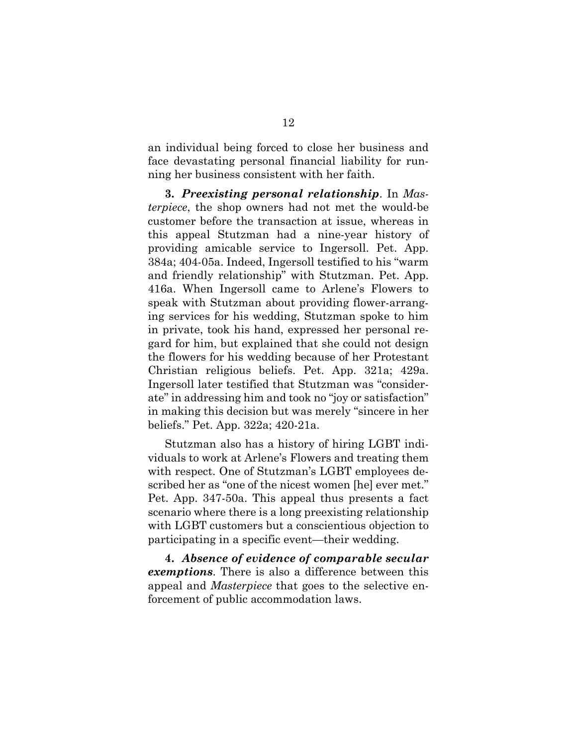an individual being forced to close her business and face devastating personal financial liability for running her business consistent with her faith.

**3.** *Preexisting personal relationship*. In *Masterpiece*, the shop owners had not met the would-be customer before the transaction at issue, whereas in this appeal Stutzman had a nine-year history of providing amicable service to Ingersoll. Pet. App. 384a; 404-05a. Indeed, Ingersoll testified to his "warm and friendly relationship" with Stutzman. Pet. App. 416a. When Ingersoll came to Arlene's Flowers to speak with Stutzman about providing flower-arranging services for his wedding, Stutzman spoke to him in private, took his hand, expressed her personal regard for him, but explained that she could not design the flowers for his wedding because of her Protestant Christian religious beliefs. Pet. App. 321a; 429a. Ingersoll later testified that Stutzman was "considerate" in addressing him and took no "joy or satisfaction" in making this decision but was merely "sincere in her beliefs." Pet. App. 322a; 420-21a.

Stutzman also has a history of hiring LGBT individuals to work at Arlene's Flowers and treating them with respect. One of Stutzman's LGBT employees described her as "one of the nicest women [he] ever met." Pet. App. 347-50a. This appeal thus presents a fact scenario where there is a long preexisting relationship with LGBT customers but a conscientious objection to participating in a specific event—their wedding.

**4.** *Absence of evidence of comparable secular exemptions*. There is also a difference between this appeal and *Masterpiece* that goes to the selective enforcement of public accommodation laws.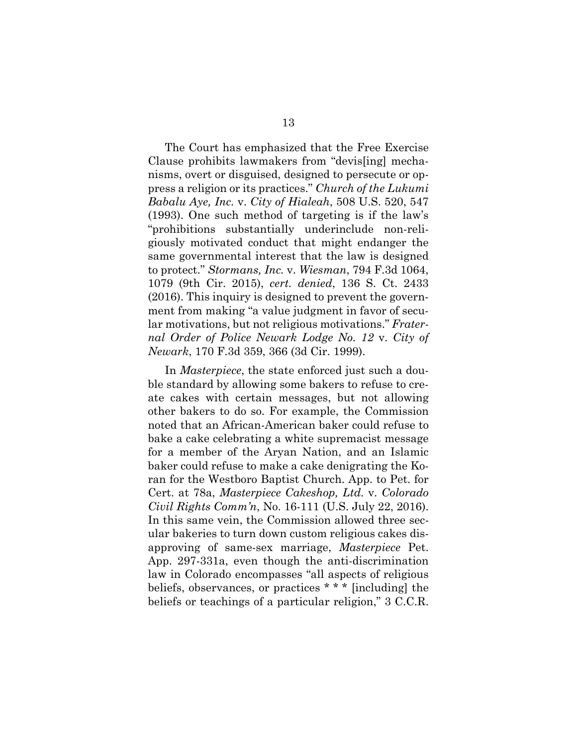The Court has emphasized that the Free Exercise Clause prohibits lawmakers from "devis[ing] mechanisms, overt or disguised, designed to persecute or oppress a religion or its practices." *Church of the Lukumi Babalu Aye, Inc.* v. *City of Hialeah*, 508 U.S. 520, 547 (1993). One such method of targeting is if the law's "prohibitions substantially underinclude non-religiously motivated conduct that might endanger the same governmental interest that the law is designed to protect." *Stormans, Inc.* v. *Wiesman*, 794 F.3d 1064, 1079 (9th Cir. 2015), *cert. denied*, 136 S. Ct. 2433 (2016). This inquiry is designed to prevent the government from making "a value judgment in favor of secular motivations, but not religious motivations." *Fraternal Order of Police Newark Lodge No. 12* v. *City of Newark*, 170 F.3d 359, 366 (3d Cir. 1999).

In *Masterpiece*, the state enforced just such a double standard by allowing some bakers to refuse to create cakes with certain messages, but not allowing other bakers to do so. For example, the Commission noted that an African-American baker could refuse to bake a cake celebrating a white supremacist message for a member of the Aryan Nation, and an Islamic baker could refuse to make a cake denigrating the Koran for the Westboro Baptist Church. App. to Pet. for Cert. at 78a, *Masterpiece Cakeshop, Ltd.* v. *Colorado Civil Rights Comm'n*, No. 16-111 (U.S. July 22, 2016). In this same vein, the Commission allowed three secular bakeries to turn down custom religious cakes disapproving of same-sex marriage, *Masterpiece* Pet. App. 297-331a, even though the anti-discrimination law in Colorado encompasses "all aspects of religious beliefs, observances, or practices \* \* \* [including] the beliefs or teachings of a particular religion," 3 C.C.R.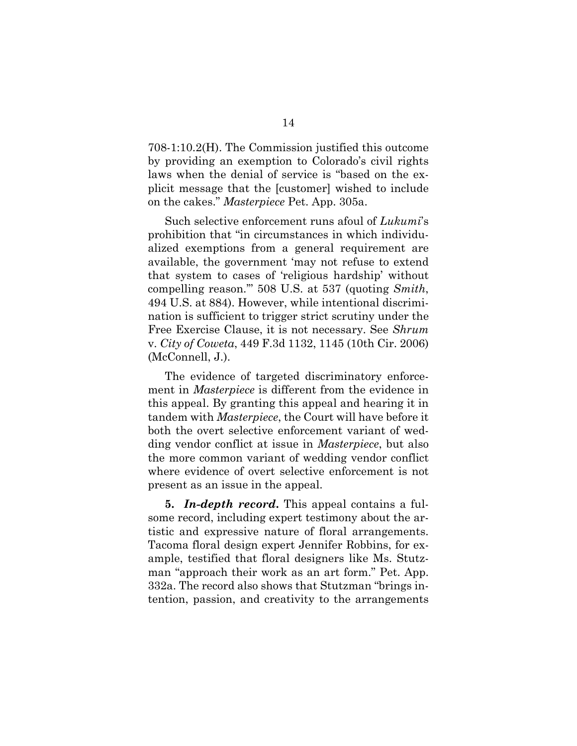708-1:10.2(H). The Commission justified this outcome by providing an exemption to Colorado's civil rights laws when the denial of service is "based on the explicit message that the [customer] wished to include on the cakes." *Masterpiece* Pet. App. 305a.

Such selective enforcement runs afoul of *Lukumi*'s prohibition that "in circumstances in which individualized exemptions from a general requirement are available, the government 'may not refuse to extend that system to cases of 'religious hardship' without compelling reason.'" 508 U.S. at 537 (quoting *Smith*, 494 U.S. at 884). However, while intentional discrimination is sufficient to trigger strict scrutiny under the Free Exercise Clause, it is not necessary. See *Shrum*  v. *City of Coweta*, 449 F.3d 1132, 1145 (10th Cir. 2006) (McConnell, J.).

The evidence of targeted discriminatory enforcement in *Masterpiece* is different from the evidence in this appeal. By granting this appeal and hearing it in tandem with *Masterpiece*, the Court will have before it both the overt selective enforcement variant of wedding vendor conflict at issue in *Masterpiece*, but also the more common variant of wedding vendor conflict where evidence of overt selective enforcement is not present as an issue in the appeal.

**5.** *In-depth record***.** This appeal contains a fulsome record, including expert testimony about the artistic and expressive nature of floral arrangements. Tacoma floral design expert Jennifer Robbins, for example, testified that floral designers like Ms. Stutzman "approach their work as an art form." Pet. App. 332a. The record also shows that Stutzman "brings intention, passion, and creativity to the arrangements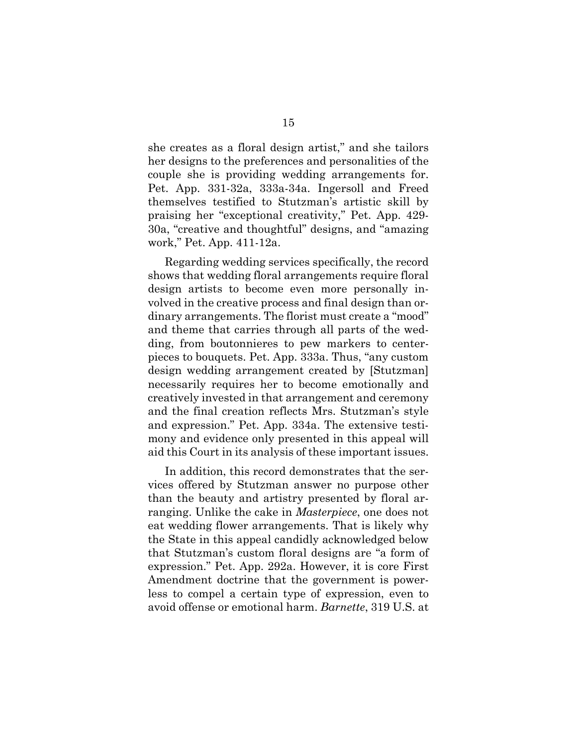she creates as a floral design artist," and she tailors her designs to the preferences and personalities of the couple she is providing wedding arrangements for. Pet. App. 331-32a, 333a-34a. Ingersoll and Freed themselves testified to Stutzman's artistic skill by praising her "exceptional creativity," Pet. App. 429- 30a, "creative and thoughtful" designs, and "amazing work," Pet. App. 411-12a.

Regarding wedding services specifically, the record shows that wedding floral arrangements require floral design artists to become even more personally involved in the creative process and final design than ordinary arrangements. The florist must create a "mood" and theme that carries through all parts of the wedding, from boutonnieres to pew markers to centerpieces to bouquets. Pet. App. 333a. Thus, "any custom design wedding arrangement created by [Stutzman] necessarily requires her to become emotionally and creatively invested in that arrangement and ceremony and the final creation reflects Mrs. Stutzman's style and expression." Pet. App. 334a. The extensive testimony and evidence only presented in this appeal will aid this Court in its analysis of these important issues.

In addition, this record demonstrates that the services offered by Stutzman answer no purpose other than the beauty and artistry presented by floral arranging. Unlike the cake in *Masterpiece*, one does not eat wedding flower arrangements. That is likely why the State in this appeal candidly acknowledged below that Stutzman's custom floral designs are "a form of expression." Pet. App. 292a. However, it is core First Amendment doctrine that the government is powerless to compel a certain type of expression, even to avoid offense or emotional harm. *Barnette*, 319 U.S. at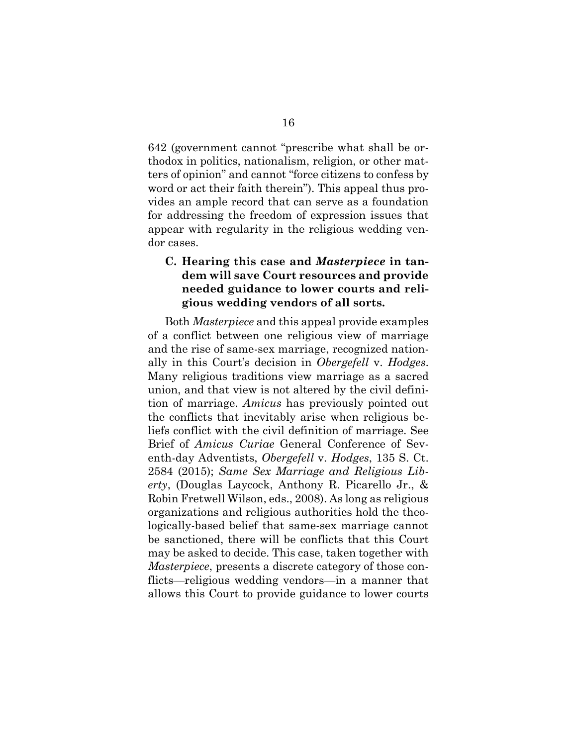642 (government cannot "prescribe what shall be orthodox in politics, nationalism, religion, or other matters of opinion" and cannot "force citizens to confess by word or act their faith therein"). This appeal thus provides an ample record that can serve as a foundation for addressing the freedom of expression issues that appear with regularity in the religious wedding vendor cases.

### **C. Hearing this case and** *Masterpiece* **in tandem will save Court resources and provide needed guidance to lower courts and religious wedding vendors of all sorts.**

Both *Masterpiece* and this appeal provide examples of a conflict between one religious view of marriage and the rise of same-sex marriage, recognized nationally in this Court's decision in *Obergefell* v. *Hodges*. Many religious traditions view marriage as a sacred union, and that view is not altered by the civil definition of marriage. *Amicus* has previously pointed out the conflicts that inevitably arise when religious beliefs conflict with the civil definition of marriage. See Brief of *Amicus Curiae* General Conference of Seventh-day Adventists, *Obergefell* v. *Hodges*, 135 S. Ct. 2584 (2015); *Same Sex Marriage and Religious Liberty*, (Douglas Laycock, Anthony R. Picarello Jr., & Robin Fretwell Wilson, eds., 2008). As long as religious organizations and religious authorities hold the theologically-based belief that same-sex marriage cannot be sanctioned, there will be conflicts that this Court may be asked to decide. This case, taken together with *Masterpiece*, presents a discrete category of those conflicts—religious wedding vendors—in a manner that allows this Court to provide guidance to lower courts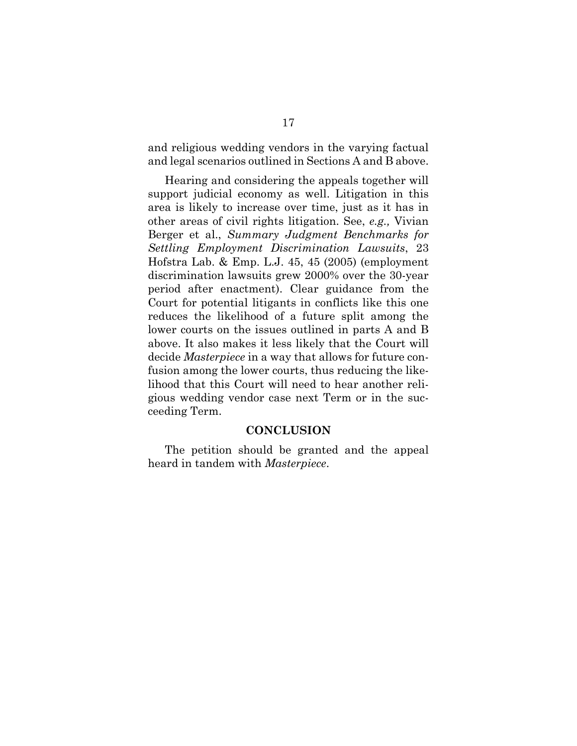and religious wedding vendors in the varying factual and legal scenarios outlined in Sections A and B above.

Hearing and considering the appeals together will support judicial economy as well. Litigation in this area is likely to increase over time, just as it has in other areas of civil rights litigation. See, *e.g.,* Vivian Berger et al., *Summary Judgment Benchmarks for Settling Employment Discrimination Lawsuits*, 23 Hofstra Lab. & Emp. L.J. 45, 45 (2005) (employment discrimination lawsuits grew 2000% over the 30-year period after enactment). Clear guidance from the Court for potential litigants in conflicts like this one reduces the likelihood of a future split among the lower courts on the issues outlined in parts A and B above. It also makes it less likely that the Court will decide *Masterpiece* in a way that allows for future confusion among the lower courts, thus reducing the likelihood that this Court will need to hear another religious wedding vendor case next Term or in the succeeding Term.

#### **CONCLUSION**

The petition should be granted and the appeal heard in tandem with *Masterpiece*.